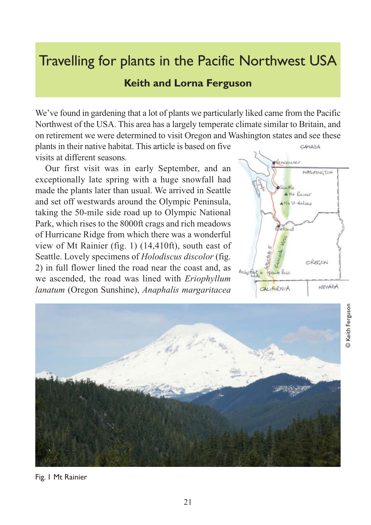## Travelling for plants in the Pacific Northwest USA

## **Keith and Lorna Ferguson**

We've found in gardening that a lot of plants we particularly liked came from the Pacific Northwest of the USA. This area has a largely temperate climate similar to Britain, and on retirement we were determined to visit Oregon and Washington states and see these

plants in their native habitat. This article is based on five visits at different seasons.

Our first visit was in early September, and an exceptionally late spring with a huge snowfall had made the plants later than usual. We arrived in Seattle and set off westwards around the Olympic Peninsula, taking the 50-mile side road up to Olympic National Park, which rises to the 8000ft crags and rich meadows of Hurricane Ridge from which there was a wonderful view of Mt Rainier (fig. 1) (14,410ft), south east of Seattle. Lovely specimens of *Holodiscus discolor* (fig. 2) in full flower lined the road near the coast and, as we ascended, the road was lined with *Eriophyllum lanatum* (Oregon Sunshine), *Anaphalis margaritacea*





Fig. 1 Mt Rainier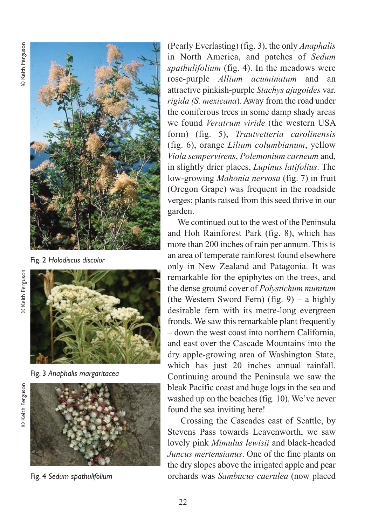

Fig. 2 *Holodiscus discolor*



Fig. 3 *Anaphalis margaritacea*



Fig. 4 *Sedum spathulifolium* 

(Pearly Everlasting) (fig. 3), the only *Anaphalis* in North America, and patches of *Sedum spathulifolium* (fig. 4). In the meadows were rose-purple *Allium acuminatum* and an attractive pinkish-purple *Stachys ajugoides* var. *rigida (S. mexicana*). Away from the road under the coniferous trees in some damp shady areas we found *Veratrum viride* (the western USA form) (fig. 5), *Trautvetteria carolinensis* (fig. 6), orange *Lilium columbianum*, yellow *Viola sempervirens*, *Polemonium carneum* and, in slightly drier places, *Lupinus latifolius*. The low-growing *Mahonia nervosa* (fig. 7) in fruit (Oregon Grape) was frequent in the roadside verges; plants raised from this seed thrive in our garden.

We continued out to the west of the Peninsula and Hoh Rainforest Park (fig. 8), which has more than 200 inches of rain per annum. This is an area of temperate rainforest found elsewhere only in New Zealand and Patagonia. It was remarkable for the epiphytes on the trees, and the dense ground cover of *Polystichum munitum* (the Western Sword Fern) (fig.  $9$ ) – a highly desirable fern with its metre-long evergreen fronds. We saw this remarkable plant frequently – down the west coast into northern California, and east over the Cascade Mountains into the dry apple-growing area of Washington State, which has just 20 inches annual rainfall. Continuing around the Peninsula we saw the bleak Pacific coast and huge logs in the sea and washed up on the beaches (fig. 10). We've never found the sea inviting here!

Crossing the Cascades east of Seattle, by Stevens Pass towards Leavenworth, we saw lovely pink *Mimulus lewisii* and black-headed *Juncus mertensianus*. One of the fine plants on the dry slopes above the irrigated apple and pear orchards was *Sambucus caerulea* (now placed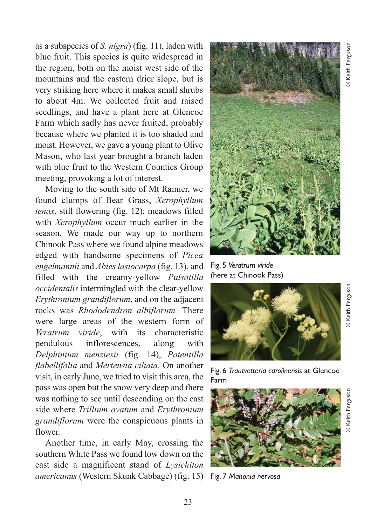as a subspecies of *S. nigra*) (fig. 11), laden with blue fruit. This species is quite widespread in the region, both on the moist west side of the mountains and the eastern drier slope, but is very striking here where it makes small shrubs to about 4m. We collected fruit and raised seedlings, and have a plant here at Glencoe Farm which sadly has never fruited, probably because where we planted it is too shaded and moist. However, we gave a young plant to Olive Mason, who last year brought a branch laden with blue fruit to the Western Counties Group meeting, provoking a lot of interest.

Moving to the south side of Mt Rainier, we found clumps of Bear Grass, *Xerophyllum tenax*, still flowering (fig. 12); meadows filled with *Xerophyllum* occur much earlier in the season. We made our way up to northern Chinook Pass where we found alpine meadows edged with handsome specimens of *Picea engelmannii* and *Abies lasiocarpa* (fig. 13), and filled with the creamy-yellow *Pulsatilla occidentalis* intermingled with the clear-yellow *Erythronium grandiflorum*, and on the adjacent rocks was *Rhododendron albiflorum.* There were large areas of the western form of *Veratrum viride*, with its characteristic pendulous inflorescences, along with *Delphinium menziesii* (fig. 14), *Potentilla flabellifolia* and *Mertensia ciliata.* On another visit, in early June, we tried to visit this area, the pass was open but the snow very deep and there was nothing to see until descending on the east side where *Trillium ovatum* and *Erythronium grandiflorum* were the conspicuous plants in flower.

Another time, in early May, crossing the southern White Pass we found low down on the east side a magnificent stand of *Lysichiton americanus* (Western Skunk Cabbage) (fig. 15)



Fig. 5 *Veratrum viride* (here at Chinook Pass)



Fig. 6 *Trautvetteria carolinensis* at Glencoe



Fig. 7 *Mahonia nervosa*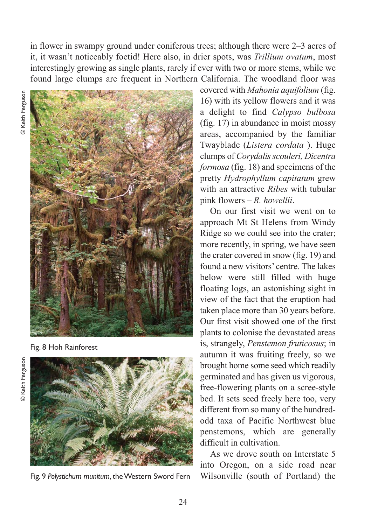in flower in swampy ground under coniferous trees; although there were 2–3 acres of it, it wasn't noticeably foetid! Here also, in drier spots, was *Trillium ovatum*, most interestingly growing as single plants, rarely if ever with two or more stems, while we found large clumps are frequent in Northern California. The woodland floor was



Fig. 8 Hoh Rainforest



Fig. 9 *Polystichum munitum*, the Western Sword Fern

covered with *Mahonia aquifolium* (fig. 16) with its yellow flowers and it was a delight to find *Calypso bulbosa* (fig. 17) in abundance in moist mossy areas, accompanied by the familiar Twayblade (*Listera cordata* ). Huge clumps of *Corydalis scouleri, Dicentra formosa* (fig. 18) and specimens of the pretty *Hydrophyllum capitatum* grew with an attractive *Ribes* with tubular pink flowers – *R. howellii*.

On our first visit we went on to approach Mt St Helens from Windy Ridge so we could see into the crater; more recently, in spring, we have seen the crater covered in snow (fig. 19) and found a new visitors' centre. The lakes below were still filled with huge floating logs, an astonishing sight in view of the fact that the eruption had taken place more than 30 years before. Our first visit showed one of the first plants to colonise the devastated areas is, strangely, *Penstemon fruticosus*; in autumn it was fruiting freely, so we brought home some seed which readily germinated and has given us vigorous, free-flowering plants on a scree-style bed. It sets seed freely here too, very different from so many of the hundredodd taxa of Pacific Northwest blue penstemons, which are generally difficult in cultivation.

As we drove south on Interstate 5 into Oregon, on a side road near Wilsonville (south of Portland) the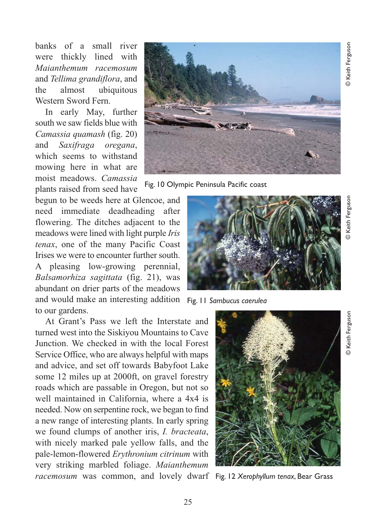© Keith Ferguson © Keith Ferguson

**B** Keith Ferguson © Keith Ferguson

© Keith Ferguson

**Example Keith Ferguson** 

banks of a small river were thickly lined with *Maianthemum racemosum* and *Tellima grandiflora*, and the almost ubiquitous Western Sword Fern.

In early May, further south we saw fields blue with *Camassia quamash* (fig. 20) and *Saxifraga oregana*, which seems to withstand mowing here in what are moist meadows. *Camassia* plants raised from seed have

begun to be weeds here at Glencoe, and need immediate deadheading after flowering. The ditches adjacent to the meadows were lined with light purple *Iris tenax*, one of the many Pacific Coast Irises we were to encounter further south. A pleasing low-growing perennial, *Balsamorhiza sagittata* (fig. 21), was abundant on drier parts of the meadows and would make an interesting addition Fig. 11 *Sambucus caerulea* to our gardens.

At Grant's Pass we left the Interstate and turned west into the Siskiyou Mountains to Cave Junction. We checked in with the local Forest Service Office, who are always helpful with maps and advice, and set off towards Babyfoot Lake some 12 miles up at 2000ft, on gravel forestry roads which are passable in Oregon, but not so well maintained in California, where a 4x4 is needed. Now on serpentine rock, we began to find a new range of interesting plants. In early spring we found clumps of another iris, *I. bracteata*, with nicely marked pale yellow falls, and the pale-lemon-flowered *Erythronium citrinum* with very striking marbled foliage. *Maianthemum racemosum* was common, and lovely dwarf Fig. 12 *Xerophyllum tenax*, Bear Grass

Fig. 10 Olympic Peninsula Pacific coast



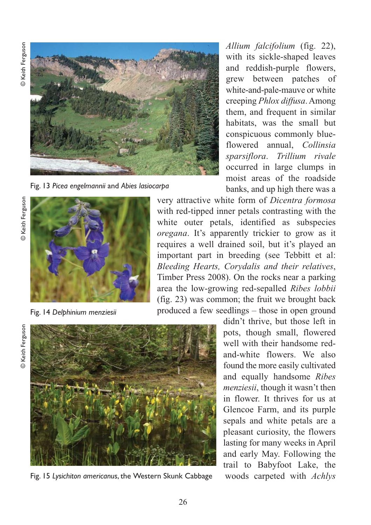© Keith Ferguson



Fig. 13 *Picea engelmannii* and *Abies lasiocarpa*



Fig. 14 *Delphinium menziesii*

*Allium falcifolium* (fig. 22), with its sickle-shaped leaves and reddish-purple flowers, grew between patches of white-and-pale-mauve or white creeping *Phlox diffusa*. Among them, and frequent in similar habitats, was the small but conspicuous commonly blueflowered annual, *Collinsia sparsiflora*. *Trillium rivale* occurred in large clumps in moist areas of the roadside banks, and up high there was a

very attractive white form of *Dicentra formosa* with red-tipped inner petals contrasting with the white outer petals, identified as subspecies *oregana*. It's apparently trickier to grow as it requires a well drained soil, but it's played an important part in breeding (see Tebbitt et al: *Bleeding Hearts, Corydalis and their relatives*, Timber Press 2008). On the rocks near a parking area the low-growing red-sepalled *Ribes lobbii* (fig. 23) was common; the fruit we brought back produced a few seedlings – those in open ground

**Example Keith Ferguson** 



Fig. 15 *Lysichiton americanus*, the Western Skunk Cabbage

didn't thrive, but those left in pots, though small, flowered well with their handsome redand-white flowers. We also found the more easily cultivated and equally handsome *Ribes menziesii*, though it wasn't then in flower. It thrives for us at Glencoe Farm, and its purple sepals and white petals are a pleasant curiosity, the flowers lasting for many weeks in April and early May. Following the trail to Babyfoot Lake, the woods carpeted with *Achlys*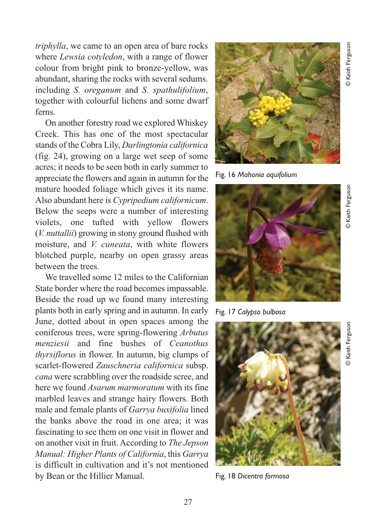*triphylla*, we came to an open area of bare rocks where *Lewsia cotyledon*, with a range of flower colour from bright pink to bronze-yellow, was abundant, sharing the rocks with several sedums. including *S. oreganum* and *S. spathulifolium*, together with colourful lichens and some dwarf ferns.

On another forestry road we explored Whiskey Creek. This has one of the most spectacular stands of the Cobra Lily, *Darlingtonia californica* (fig. 24), growing on a large wet seep of some acres; it needs to be seen both in early summer to appreciate the flowers and again in autumn for the mature hooded foliage which gives it its name. Also abundant here is *Cypripedium californicum*. Below the seeps were a number of interesting violets, one tufted with yellow flowers (*V. nuttallii*) growing in stony ground flushed with moisture, and *V. cuneata*, with white flowers blotched purple, nearby on open grassy areas between the trees.

We travelled some 12 miles to the Californian State border where the road becomes impassable. Beside the road up we found many interesting plants both in early spring and in autumn. In early June, dotted about in open spaces among the coniferous trees, were spring-flowering *Arbutus menziesii* and fine bushes of *Ceanothus thyrsiflorus* in flower. In autumn, big clumps of scarlet-flowered *Zauschneria californica* subsp. *cana* were scrabbling over the roadside scree, and here we found *Asarum marmoratum* with its fine marbled leaves and strange hairy flowers. Both male and female plants of *Garrya buxifolia* lined the banks above the road in one area; it was fascinating to see them on one visit in flower and on another visit in fruit. According to *The Jepson Manual: Higher Plants of California*, this *Garrya* is difficult in cultivation and it's not mentioned by Bean or the Hillier Manual.



Fig. 16 *Mahonia aquifolium*



Fig. 17 *Calypso bulbosa*

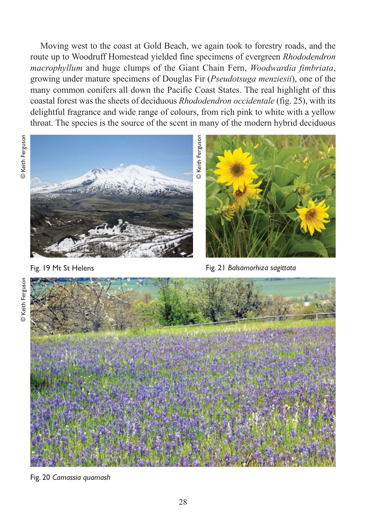Moving west to the coast at Gold Beach, we again took to forestry roads, and the route up to Woodruff Homestead yielded fine specimens of evergreen *Rhododendron macrophyllum* and huge clumps of the Giant Chain Fern, *Woodwardia fimbriata*, growing under mature specimens of Douglas Fir (*Pseudotsuga menziesii*), one of the many common conifers all down the Pacific Coast States. The real highlight of this coastal forest was the sheets of deciduous *Rhododendron occidentale* (fig. 25), with its delightful fragrance and wide range of colours, from rich pink to white with a yellow throat. The species is the source of the scent in many of the modern hybrid deciduous





Fig. 19 Mt St Helens



Fig. 21 *Balsamorhiza sagittata*



Fig. 20 *Camassia quamash*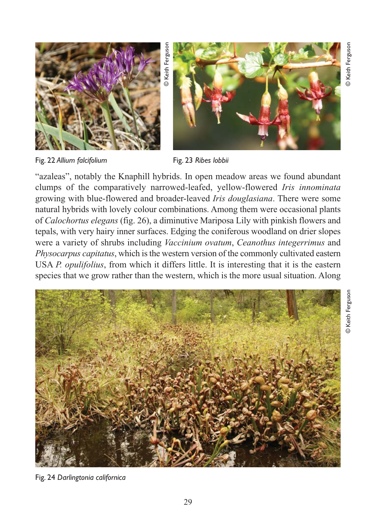© Keith Ferguson

**D** Keith Ferguson



Fig. 22 *Allium falcifolium*

© Keith Ferguson Keith Fergusor



Fig. 23 *Ribes lobbii*

"azaleas", notably the Knaphill hybrids. In open meadow areas we found abundant clumps of the comparatively narrowed-leafed, yellow-flowered *Iris innominata* growing with blue-flowered and broader-leaved *Iris douglasiana*. There were some natural hybrids with lovely colour combinations. Among them were occasional plants of *Calochortus elegans* (fig. 26), a diminutive Mariposa Lily with pinkish flowers and tepals, with very hairy inner surfaces. Edging the coniferous woodland on drier slopes were a variety of shrubs including *Vaccinium ovatum*, *Ceanothus integerrimus* and *Physocarpus capitatus*, which is the western version of the commonly cultivated eastern USA *P. opulifolius*, from which it differs little. It is interesting that it is the eastern species that we grow rather than the western, which is the more usual situation. Along



Fig. 24 *Darlingtonia californica*